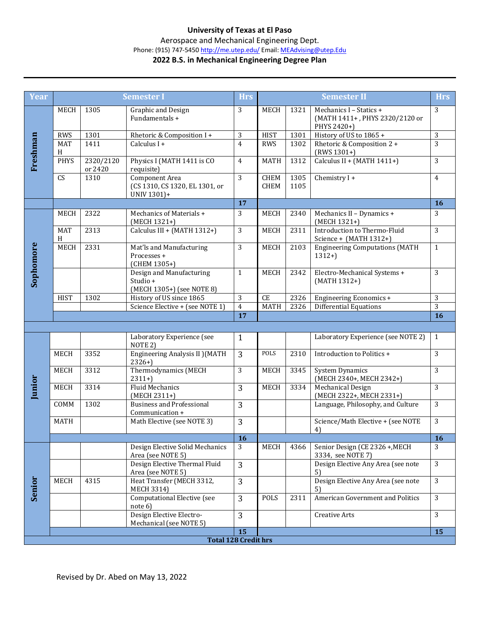## **University of Texas at El Paso**

Aerospace and Mechanical Engineering Dept.

## Phone: (915) 747-5450 http://me.utep.edu/ Email: MEAdvising@utep.Edu

## **2022 B.S. in Mechanical Engineering Degree Plan**

| Year          |                 |                      | <b>Semester I</b>                                                 | <b>Hrs</b>      |              |              | <b>Semester II</b>                                                       | <b>Hrs</b>      |
|---------------|-----------------|----------------------|-------------------------------------------------------------------|-----------------|--------------|--------------|--------------------------------------------------------------------------|-----------------|
|               | MECH            | 1305                 | Graphic and Design<br>Fundamentals +                              | 3               | <b>MECH</b>  | 1321         | Mechanics I - Statics +<br>(MATH 1411+, PHYS 2320/2120 or<br>PHYS 2420+) | 3               |
|               | <b>RWS</b>      | 1301                 | Rhetoric & Composition I+                                         | 3               | <b>HIST</b>  | 1301         | History of US to 1865 +                                                  | 3               |
| Freshman      | <b>MAT</b><br>H | 1411                 | Calculus I +                                                      | $\overline{4}$  | <b>RWS</b>   | 1302         | Rhetoric & Composition 2 +<br>$(RWS 1301+)$                              | 3               |
|               | <b>PHYS</b>     | 2320/2120<br>or 2420 | Physics I (MATH 1411 is CO<br>requisite)                          | $\overline{4}$  | <b>MATH</b>  | 1312         | Calculus II + (MATH 1411+)                                               | 3               |
|               | CS              | 1310                 | Component Area<br>(CS 1310, CS 1320, EL 1301, or<br>UNIV 1301)+   | 3               | CHEM<br>CHEM | 1305<br>1105 | Chemistry I +                                                            | $\overline{4}$  |
|               |                 |                      |                                                                   | 17              |              |              |                                                                          | 16              |
| Sophomore     | <b>MECH</b>     | 2322                 | Mechanics of Materials +<br>(MECH 1321+)                          | 3               | MECH         | 2340         | Mechanics II - Dynamics +<br>(MECH 1321+)                                | 3               |
|               | <b>MAT</b><br>H | 2313                 | Calculus III + (MATH 1312+)                                       | 3               | <b>MECH</b>  | 2311         | Introduction to Thermo-Fluid<br>Science + (MATH 1312+)                   | 3               |
|               | <b>MECH</b>     | 2331                 | Mat'ls and Manufacturing<br>Processes +<br>(CHEM 1305+)           | 3               | <b>MECH</b>  | 2103         | <b>Engineering Computations (MATH</b><br>$1312+$                         | $\mathbf{1}$    |
|               |                 |                      | Design and Manufacturing<br>Studio +<br>(MECH 1305+) (see NOTE 8) | $\mathbf{1}$    | <b>MECH</b>  | 2342         | Electro-Mechanical Systems +<br>(MATH 1312+)                             | 3               |
|               | <b>HIST</b>     | 1302                 | History of US since 1865                                          | 3               | <b>CE</b>    | 2326         | Engineering Economics +                                                  | 3               |
|               |                 |                      | Science Elective + (see NOTE 1)                                   | $\overline{4}$  | <b>MATH</b>  | 2326         | Differential Equations                                                   | $\overline{3}$  |
|               |                 |                      |                                                                   | 17              |              |              |                                                                          | 16              |
|               |                 |                      |                                                                   |                 |              |              |                                                                          |                 |
|               |                 |                      | Laboratory Experience (see<br>NOTE <sub>2</sub> )                 | $\mathbf{1}$    |              |              | Laboratory Experience (see NOTE 2)                                       | $\mathbf{1}$    |
|               | <b>MECH</b>     | 3352                 | Engineering Analysis II ) (MATH<br>$2326+$                        | 3               | POLS         | 2310         | Introduction to Politics +                                               | 3               |
|               | <b>MECH</b>     | 3312                 | Thermodynamics (MECH<br>$2311+$                                   | 3               | MECH         | 3345         | <b>System Dynamics</b><br>(MECH 2340+, MECH 2342+)                       | 3               |
| Junior        | <b>MECH</b>     | 3314                 | <b>Fluid Mechanics</b><br>(MECH 2311+)                            | 3               | <b>MECH</b>  | 3334         | Mechanical Design<br>(MECH 2322+, MECH 2331+)                            | 3               |
|               | COMM            | 1302                 | <b>Business and Professional</b><br>Communication +               | 3               |              |              | Language, Philosophy, and Culture                                        | 3               |
|               | <b>MATH</b>     |                      | Math Elective (see NOTE 3)                                        | 3               |              |              | Science/Math Elective + (see NOTE<br>4)                                  | $\overline{3}$  |
|               |                 |                      |                                                                   | 16              |              |              |                                                                          | $\overline{16}$ |
|               |                 |                      | Design Elective Solid Mechanics<br>Area (see NOTE 5)              | 3               | MECH         | 4366         | Senior Design (CE 2326 +, MECH<br>3334, see NOTE 7)                      | 3               |
|               |                 |                      | Design Elective Thermal Fluid<br>Area (see NOTE 5)                | 3               |              |              | Design Elective Any Area (see note<br>5)                                 | 3               |
| <b>Senior</b> | MECH            | 4315                 | Heat Transfer (MECH 3312,<br><b>MECH 3314)</b>                    | 3               |              |              | Design Elective Any Area (see note<br>5)                                 | 3               |
|               |                 |                      | Computational Elective (see<br>note 6)                            | $\overline{3}$  | POLS         | 2311         | American Government and Politics                                         | 3               |
|               |                 |                      | Design Elective Electro-<br>Mechanical (see NOTE 5)               | 3               |              |              | Creative Arts                                                            | 3               |
|               |                 |                      |                                                                   | $\overline{15}$ |              |              |                                                                          | 15              |
|               |                 |                      | <b>Total 128 Credit hrs</b>                                       |                 |              |              |                                                                          |                 |